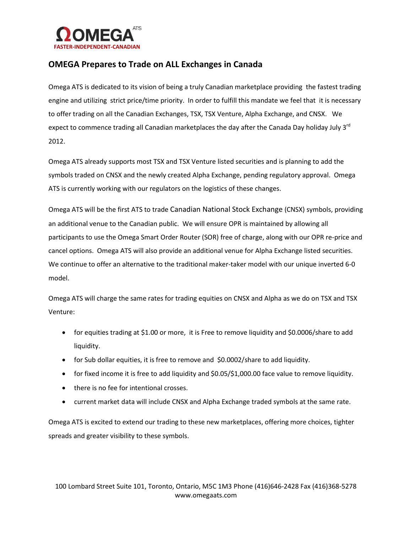

## **OMEGA Prepares to Trade on ALL Exchanges in Canada**

Omega ATS is dedicated to its vision of being a truly Canadian marketplace providing the fastest trading engine and utilizing strict price/time priority. In order to fulfill this mandate we feel that it is necessary to offer trading on all the Canadian Exchanges, TSX, TSX Venture, Alpha Exchange, and CNSX. We expect to commence trading all Canadian marketplaces the day after the Canada Day holiday July 3<sup>rd</sup> 2012.

Omega ATS already supports most TSX and TSX Venture listed securities and is planning to add the symbols traded on CNSX and the newly created Alpha Exchange, pending regulatory approval. Omega ATS is currently working with our regulators on the logistics of these changes.

Omega ATS will be the first ATS to trade Canadian National Stock Exchange (CNSX) symbols, providing an additional venue to the Canadian public. We will ensure OPR is maintained by allowing all participants to use the Omega Smart Order Router (SOR) free of charge, along with our OPR re-price and cancel options. Omega ATS will also provide an additional venue for Alpha Exchange listed securities. We continue to offer an alternative to the traditional maker-taker model with our unique inverted 6-0 model.

Omega ATS will charge the same rates for trading equities on CNSX and Alpha as we do on TSX and TSX Venture:

- for equities trading at \$1.00 or more, it is Free to remove liquidity and \$0.0006/share to add liquidity.
- for Sub dollar equities, it is free to remove and \$0.0002/share to add liquidity.
- for fixed income it is free to add liquidity and \$0.05/\$1,000.00 face value to remove liquidity.
- there is no fee for intentional crosses.
- current market data will include CNSX and Alpha Exchange traded symbols at the same rate.

Omega ATS is excited to extend our trading to these new marketplaces, offering more choices, tighter spreads and greater visibility to these symbols.